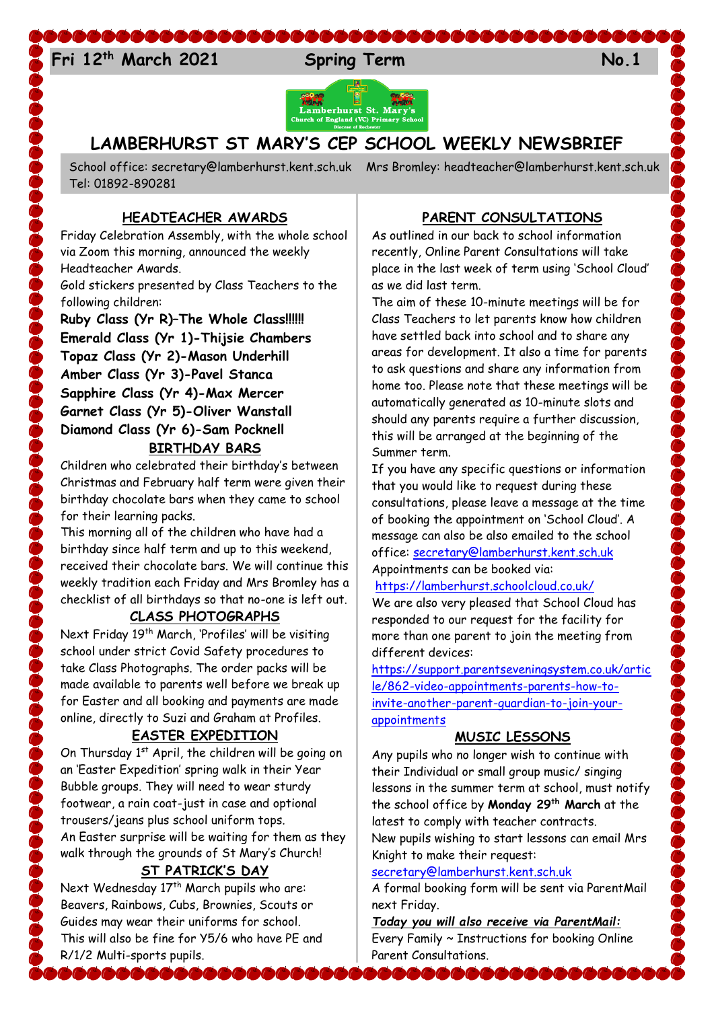# Fri 12<sup>th</sup> March 2021 Spring Term No.1



# **LAMBERHURST ST MARY'S CEP SCHOOL WEEKLY NEWSBRIEF**

School office: [secretary@lamberhurst.kent.sch.uk](mailto:secretary@lamberhurst.kent.sch.uk) Mrs Bromley: headteacher@lamberhurst.kent.sch.uk Tel: 01892-890281

#### **HEADTEACHER AWARDS**

COCO

Friday Celebration Assembly, with the whole school via Zoom this morning, announced the weekly Headteacher Awards. Gold stickers presented by Class Teachers to the

following children: **Ruby Class (Yr R)–The Whole Class!!!!!! Emerald Class (Yr 1)-Thijsie Chambers Topaz Class (Yr 2)-Mason Underhill Amber Class (Yr 3)-Pavel Stanca Sapphire Class (Yr 4)-Max Mercer Garnet Class (Yr 5)-Oliver Wanstall Diamond Class (Yr 6)-Sam Pocknell BIRTHDAY BARS**

Children who celebrated their birthday's between Christmas and February half term were given their birthday chocolate bars when they came to school for their learning packs.

This morning all of the children who have had a birthday since half term and up to this weekend, received their chocolate bars. We will continue this weekly tradition each Friday and Mrs Bromley has a checklist of all birthdays so that no-one is left out.

#### **CLASS PHOTOGRAPHS**

Next Friday 19<sup>th</sup> March, 'Profiles' will be visiting school under strict Covid Safety procedures to take Class Photographs. The order packs will be made available to parents well before we break up for Easter and all booking and payments are made online, directly to Suzi and Graham at Profiles.

### **EASTER EXPEDITION**

On Thursday 1<sup>st</sup> April, the children will be going on an 'Easter Expedition' spring walk in their Year Bubble groups. They will need to wear sturdy footwear, a rain coat-just in case and optional trousers/jeans plus school uniform tops. An Easter surprise will be waiting for them as they walk through the grounds of St Mary's Church!

## **ST PATRICK'S DAY**

Next Wednesday 17<sup>th</sup> March pupils who are: Beavers, Rainbows, Cubs, Brownies, Scouts or Guides may wear their uniforms for school. This will also be fine for Y5/6 who have PE and R/1/2 Multi-sports pupils.

**. . . . . . . . .** 

### **PARENT CONSULTATIONS**

As outlined in our back to school information recently, Online Parent Consultations will take place in the last week of term using 'School Cloud' as we did last term.

The aim of these 10-minute meetings will be for Class Teachers to let parents know how children have settled back into school and to share any areas for development. It also a time for parents to ask questions and share any information from home too. Please note that these meetings will be automatically generated as 10-minute slots and should any parents require a further discussion, this will be arranged at the beginning of the Summer term.

If you have any specific questions or information that you would like to request during these consultations, please leave a message at the time of booking the appointment on 'School Cloud'. A message can also be also emailed to the school office: [secretary@lamberhurst.kent.sch.uk](mailto:secretary@lamberhurst.kent.sch.uk) Appointments can be booked via:

#### <https://lamberhurst.schoolcloud.co.uk/>

We are also very pleased that School Cloud has responded to our request for the facility for more than one parent to join the meeting from different devices:

[https://support.parentseveningsystem.co.uk/artic](https://support.parentseveningsystem.co.uk/article/862-video-appointments-parents-how-to-invite-another-parent-guardian-to-join-your-appointments) [le/862-video-appointments-parents-how-to](https://support.parentseveningsystem.co.uk/article/862-video-appointments-parents-how-to-invite-another-parent-guardian-to-join-your-appointments)[invite-another-parent-guardian-to-join-your](https://support.parentseveningsystem.co.uk/article/862-video-appointments-parents-how-to-invite-another-parent-guardian-to-join-your-appointments)[appointments](https://support.parentseveningsystem.co.uk/article/862-video-appointments-parents-how-to-invite-another-parent-guardian-to-join-your-appointments)

### **MUSIC LESSONS**

Any pupils who no longer wish to continue with their Individual or small group music/ singing lessons in the summer term at school, must notify the school office by **Monday 29th March** at the latest to comply with teacher contracts. New pupils wishing to start lessons can email Mrs Knight to make their request:

#### [secretary@lamberhurst.kent.sch.uk](mailto:secretary@lamberhurst.kent.sch.uk)

A formal booking form will be sent via ParentMail next Friday.

### *Today you will also receive via ParentMail:*

Every Family ~ Instructions for booking Online Parent Consultations.